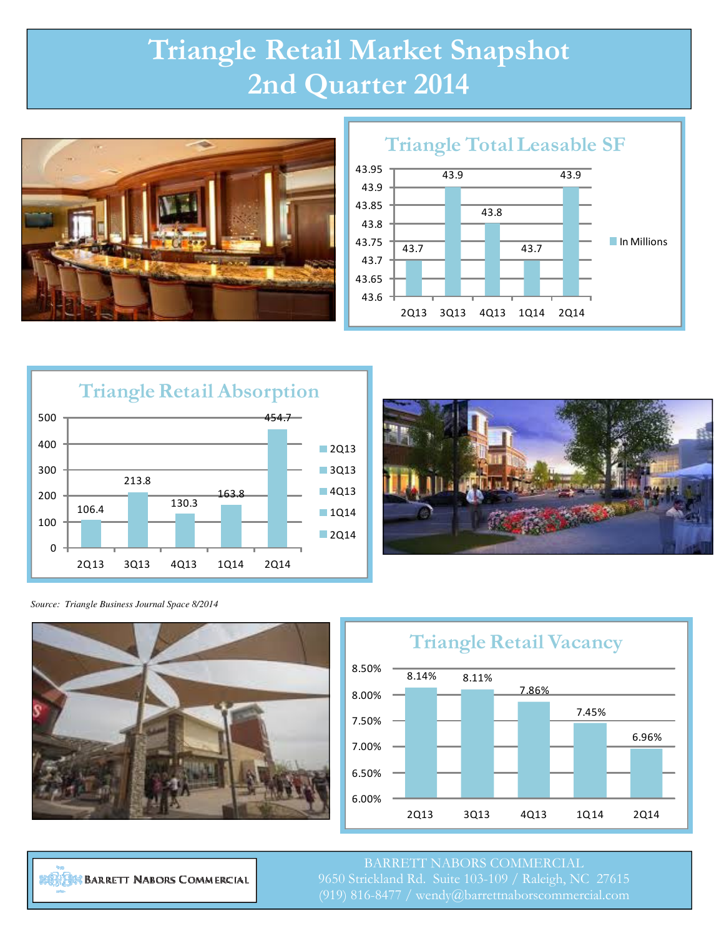## Triangle Retail Market Snapshot 2nd Quarter 2014





## Triangle Total Leasable SF





*Source: Triangle Business Journal Space 8/2014* 





**BIRDING BARRETT NABORS COMMERCIAL** 

BARRETT NABORS COMMERCIAL